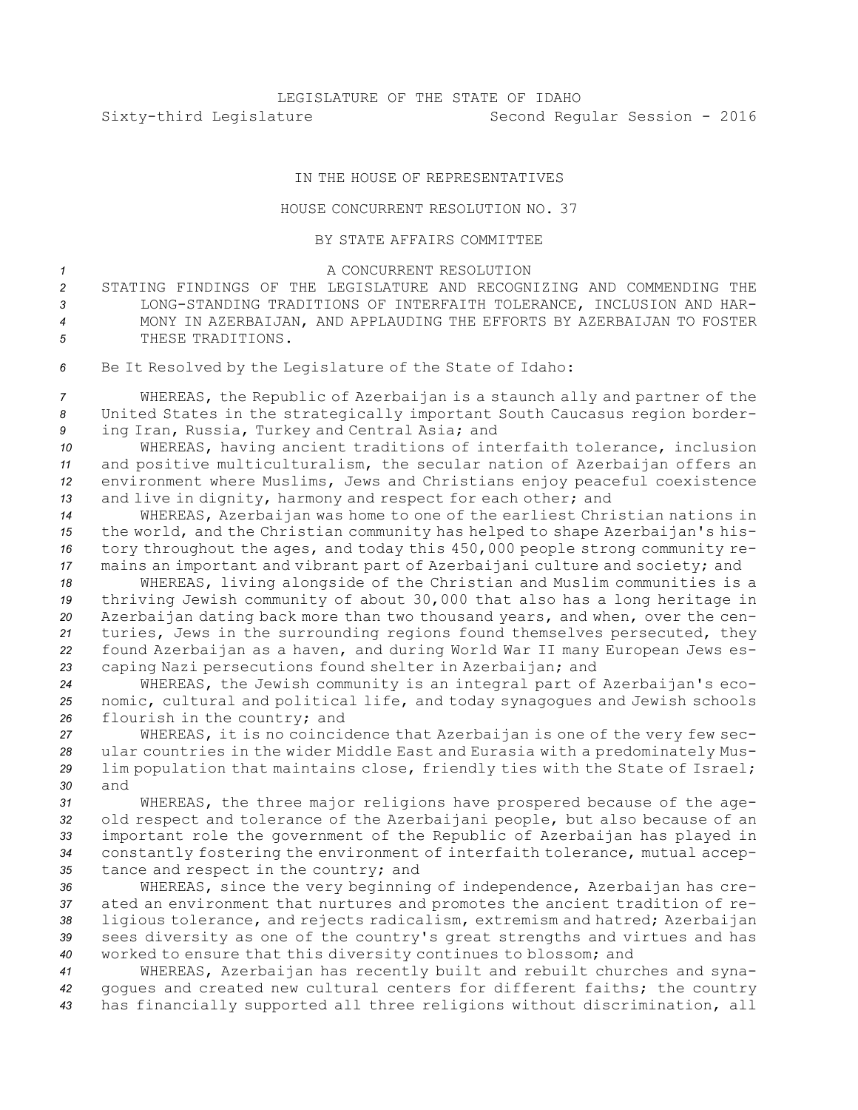## IN THE HOUSE OF REPRESENTATIVES

## HOUSE CONCURRENT RESOLUTION NO. 37

## BY STATE AFFAIRS COMMITTEE

## <sup>1</sup> A CONCURRENT RESOLUTION

 STATING FINDINGS OF THE LEGISLATURE AND RECOGNIZING AND COMMENDING THE LONG-STANDING TRADITIONS OF INTERFAITH TOLERANCE, INCLUSION AND HAR- MONY IN AZERBAIJAN, AND APPLAUDING THE EFFORTS BY AZERBAIJAN TO FOSTER 5 THESE TRADITIONS.

*<sup>6</sup>* Be It Resolved by the Legislature of the State of Idaho:

*<sup>7</sup>* WHEREAS, the Republic of Azerbaijan is <sup>a</sup> staunch ally and partner of the *<sup>8</sup>* United States in the strategically important South Caucasus region border-*<sup>9</sup>* ing Iran, Russia, Turkey and Central Asia; and

 WHEREAS, having ancient traditions of interfaith tolerance, inclusion and positive multiculturalism, the secular nation of Azerbaijan offers an environment where Muslims, Jews and Christians enjoy peaceful coexistence and live in dignity, harmony and respect for each other; and

 WHEREAS, Azerbaijan was home to one of the earliest Christian nations in the world, and the Christian community has helped to shape Azerbaijan's his- tory throughout the ages, and today this 450,000 people strong community re-mains an important and vibrant part of Azerbaijani culture and society; and

 WHEREAS, living alongside of the Christian and Muslim communities is <sup>a</sup> thriving Jewish community of about 30,000 that also has <sup>a</sup> long heritage in Azerbaijan dating back more than two thousand years, and when, over the cen- turies, Jews in the surrounding regions found themselves persecuted, they found Azerbaijan as <sup>a</sup> haven, and during World War II many European Jews es-caping Nazi persecutions found shelter in Azerbaijan; and

*<sup>24</sup>* WHEREAS, the Jewish community is an integral part of Azerbaijan's eco-*<sup>25</sup>* nomic, cultural and political life, and today synagogues and Jewish schools *<sup>26</sup>* flourish in the country; and

 WHEREAS, it is no coincidence that Azerbaijan is one of the very few sec- ular countries in the wider Middle East and Eurasia with <sup>a</sup> predominately Mus- lim population that maintains close, friendly ties with the State of Israel; *30* and

 WHEREAS, the three major religions have prospered because of the age- old respect and tolerance of the Azerbaijani people, but also because of an important role the government of the Republic of Azerbaijan has played in constantly fostering the environment of interfaith tolerance, mutual accep-tance and respect in the country; and

 WHEREAS, since the very beginning of independence, Azerbaijan has cre- ated an environment that nurtures and promotes the ancient tradition of re- ligious tolerance, and rejects radicalism, extremism and hatred; Azerbaijan sees diversity as one of the country's great strengths and virtues and has worked to ensure that this diversity continues to blossom; and

*<sup>41</sup>* WHEREAS, Azerbaijan has recently built and rebuilt churches and syna-*<sup>42</sup>* gogues and created new cultural centers for different faiths; the country *<sup>43</sup>* has financially supported all three religions without discrimination, all